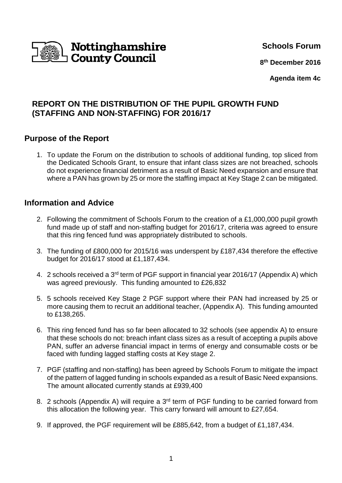

**Schools Forum**

**8 th December 2016**

**Agenda item 4c**

# **REPORT ON THE DISTRIBUTION OF THE PUPIL GROWTH FUND (STAFFING AND NON-STAFFING) FOR 2016/17**

## **Purpose of the Report**

1. To update the Forum on the distribution to schools of additional funding, top sliced from the Dedicated Schools Grant, to ensure that infant class sizes are not breached, schools do not experience financial detriment as a result of Basic Need expansion and ensure that where a PAN has grown by 25 or more the staffing impact at Key Stage 2 can be mitigated.

## **Information and Advice**

- 2. Following the commitment of Schools Forum to the creation of a £1,000,000 pupil growth fund made up of staff and non-staffing budget for 2016/17, criteria was agreed to ensure that this ring fenced fund was appropriately distributed to schools.
- 3. The funding of £800,000 for 2015/16 was underspent by £187,434 therefore the effective budget for 2016/17 stood at £1,187,434.
- 4. 2 schools received a 3<sup>rd</sup> term of PGF support in financial year 2016/17 (Appendix A) which was agreed previously. This funding amounted to £26,832
- 5. 5 schools received Key Stage 2 PGF support where their PAN had increased by 25 or more causing them to recruit an additional teacher, (Appendix A). This funding amounted to £138,265.
- 6. This ring fenced fund has so far been allocated to 32 schools (see appendix A) to ensure that these schools do not: breach infant class sizes as a result of accepting a pupils above PAN, suffer an adverse financial impact in terms of energy and consumable costs or be faced with funding lagged staffing costs at Key stage 2.
- 7. PGF (staffing and non-staffing) has been agreed by Schools Forum to mitigate the impact of the pattern of lagged funding in schools expanded as a result of Basic Need expansions. The amount allocated currently stands at £939,400
- 8. 2 schools (Appendix A) will require a  $3<sup>rd</sup>$  term of PGF funding to be carried forward from this allocation the following year. This carry forward will amount to £27,654.
- 9. If approved, the PGF requirement will be £885,642, from a budget of £1,187,434.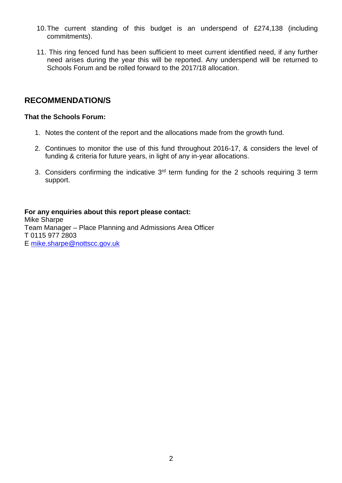- 10. The current standing of this budget is an underspend of £274,138 (including commitments).
- 11. This ring fenced fund has been sufficient to meet current identified need, if any further need arises during the year this will be reported. Any underspend will be returned to Schools Forum and be rolled forward to the 2017/18 allocation.

## **RECOMMENDATION/S**

### **That the Schools Forum:**

- 1. Notes the content of the report and the allocations made from the growth fund.
- 2. Continues to monitor the use of this fund throughout 2016-17, & considers the level of funding & criteria for future years, in light of any in-year allocations.
- 3. Considers confirming the indicative  $3<sup>rd</sup>$  term funding for the 2 schools requiring 3 term support.

#### **For any enquiries about this report please contact:** Mike Sharpe Team Manager – Place Planning and Admissions Area Officer T 0115 977 2803 E mike.sharpe@nottscc.gov.uk